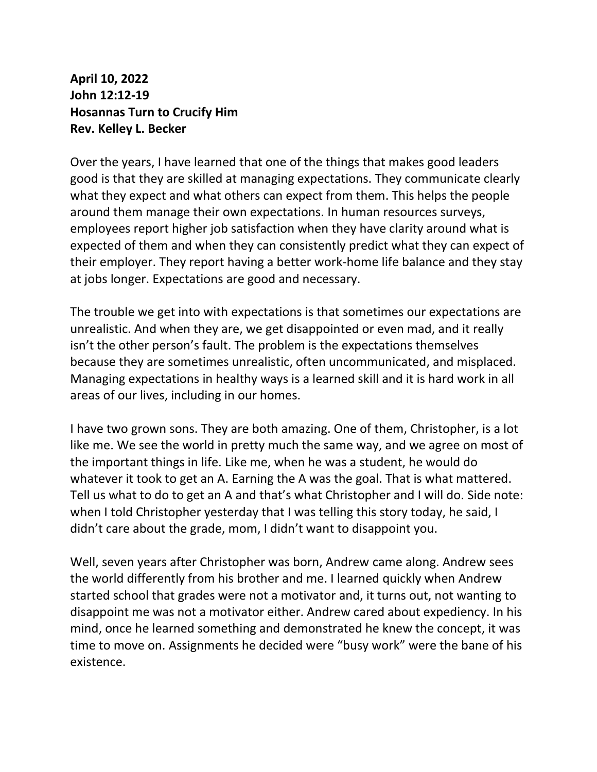**April 10, 2022 John 12:12-19 Hosannas Turn to Crucify Him Rev. Kelley L. Becker**

Over the years, I have learned that one of the things that makes good leaders good is that they are skilled at managing expectations. They communicate clearly what they expect and what others can expect from them. This helps the people around them manage their own expectations. In human resources surveys, employees report higher job satisfaction when they have clarity around what is expected of them and when they can consistently predict what they can expect of their employer. They report having a better work-home life balance and they stay at jobs longer. Expectations are good and necessary.

The trouble we get into with expectations is that sometimes our expectations are unrealistic. And when they are, we get disappointed or even mad, and it really isn't the other person's fault. The problem is the expectations themselves because they are sometimes unrealistic, often uncommunicated, and misplaced. Managing expectations in healthy ways is a learned skill and it is hard work in all areas of our lives, including in our homes.

I have two grown sons. They are both amazing. One of them, Christopher, is a lot like me. We see the world in pretty much the same way, and we agree on most of the important things in life. Like me, when he was a student, he would do whatever it took to get an A. Earning the A was the goal. That is what mattered. Tell us what to do to get an A and that's what Christopher and I will do. Side note: when I told Christopher yesterday that I was telling this story today, he said, I didn't care about the grade, mom, I didn't want to disappoint you.

Well, seven years after Christopher was born, Andrew came along. Andrew sees the world differently from his brother and me. I learned quickly when Andrew started school that grades were not a motivator and, it turns out, not wanting to disappoint me was not a motivator either. Andrew cared about expediency. In his mind, once he learned something and demonstrated he knew the concept, it was time to move on. Assignments he decided were "busy work" were the bane of his existence.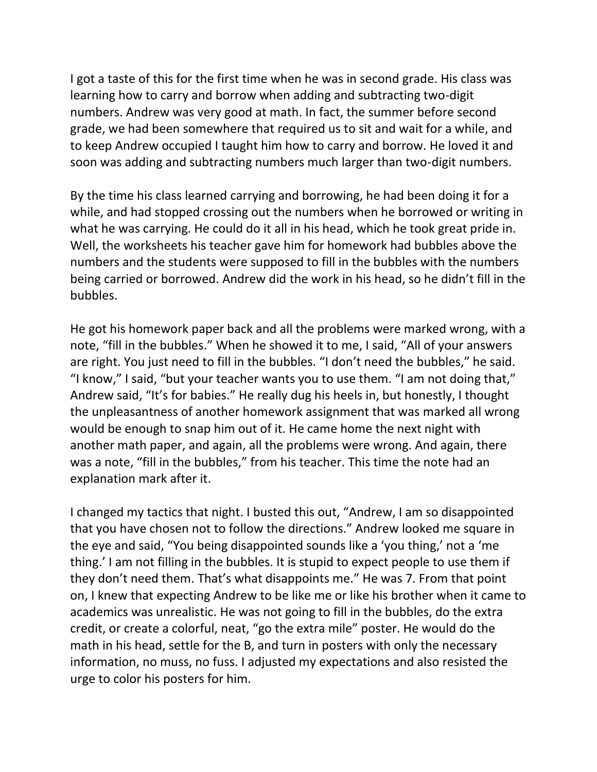I got a taste of this for the first time when he was in second grade. His class was learning how to carry and borrow when adding and subtracting two-digit numbers. Andrew was very good at math. In fact, the summer before second grade, we had been somewhere that required us to sit and wait for a while, and to keep Andrew occupied I taught him how to carry and borrow. He loved it and soon was adding and subtracting numbers much larger than two-digit numbers.

By the time his class learned carrying and borrowing, he had been doing it for a while, and had stopped crossing out the numbers when he borrowed or writing in what he was carrying. He could do it all in his head, which he took great pride in. Well, the worksheets his teacher gave him for homework had bubbles above the numbers and the students were supposed to fill in the bubbles with the numbers being carried or borrowed. Andrew did the work in his head, so he didn't fill in the bubbles.

He got his homework paper back and all the problems were marked wrong, with a note, "fill in the bubbles." When he showed it to me, I said, "All of your answers are right. You just need to fill in the bubbles. "I don't need the bubbles," he said. "I know," I said, "but your teacher wants you to use them. "I am not doing that," Andrew said, "It's for babies." He really dug his heels in, but honestly, I thought the unpleasantness of another homework assignment that was marked all wrong would be enough to snap him out of it. He came home the next night with another math paper, and again, all the problems were wrong. And again, there was a note, "fill in the bubbles," from his teacher. This time the note had an explanation mark after it.

I changed my tactics that night. I busted this out, "Andrew, I am so disappointed that you have chosen not to follow the directions." Andrew looked me square in the eye and said, "You being disappointed sounds like a 'you thing,' not a 'me thing.' I am not filling in the bubbles. It is stupid to expect people to use them if they don't need them. That's what disappoints me." He was 7. From that point on, I knew that expecting Andrew to be like me or like his brother when it came to academics was unrealistic. He was not going to fill in the bubbles, do the extra credit, or create a colorful, neat, "go the extra mile" poster. He would do the math in his head, settle for the B, and turn in posters with only the necessary information, no muss, no fuss. I adjusted my expectations and also resisted the urge to color his posters for him.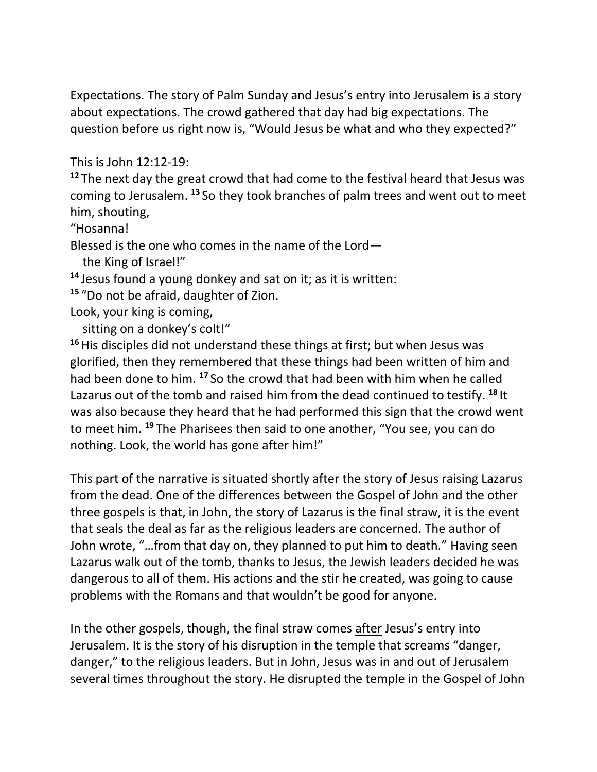Expectations. The story of Palm Sunday and Jesus's entry into Jerusalem is a story about expectations. The crowd gathered that day had big expectations. The question before us right now is, "Would Jesus be what and who they expected?"

This is John 12:12-19:

**<sup>12</sup>** The next day the great crowd that had come to the festival heard that Jesus was coming to Jerusalem. **<sup>13</sup>** So they took branches of palm trees and went out to meet him, shouting,

"Hosanna!

Blessed is the one who comes in the name of the Lord—

the King of Israel!"

**<sup>14</sup>** Jesus found a young donkey and sat on it; as it is written:

**<sup>15</sup>** "Do not be afraid, daughter of Zion.

Look, your king is coming,

sitting on a donkey's colt!"

**<sup>16</sup>**His disciples did not understand these things at first; but when Jesus was glorified, then they remembered that these things had been written of him and had been done to him. **<sup>17</sup>** So the crowd that had been with him when he called Lazarus out of the tomb and raised him from the dead continued to testify. **<sup>18</sup>** It was also because they heard that he had performed this sign that the crowd went to meet him. **<sup>19</sup>** The Pharisees then said to one another, "You see, you can do nothing. Look, the world has gone after him!"

This part of the narrative is situated shortly after the story of Jesus raising Lazarus from the dead. One of the differences between the Gospel of John and the other three gospels is that, in John, the story of Lazarus is the final straw, it is the event that seals the deal as far as the religious leaders are concerned. The author of John wrote, "…from that day on, they planned to put him to death." Having seen Lazarus walk out of the tomb, thanks to Jesus, the Jewish leaders decided he was dangerous to all of them. His actions and the stir he created, was going to cause problems with the Romans and that wouldn't be good for anyone.

In the other gospels, though, the final straw comes after Jesus's entry into Jerusalem. It is the story of his disruption in the temple that screams "danger, danger," to the religious leaders. But in John, Jesus was in and out of Jerusalem several times throughout the story. He disrupted the temple in the Gospel of John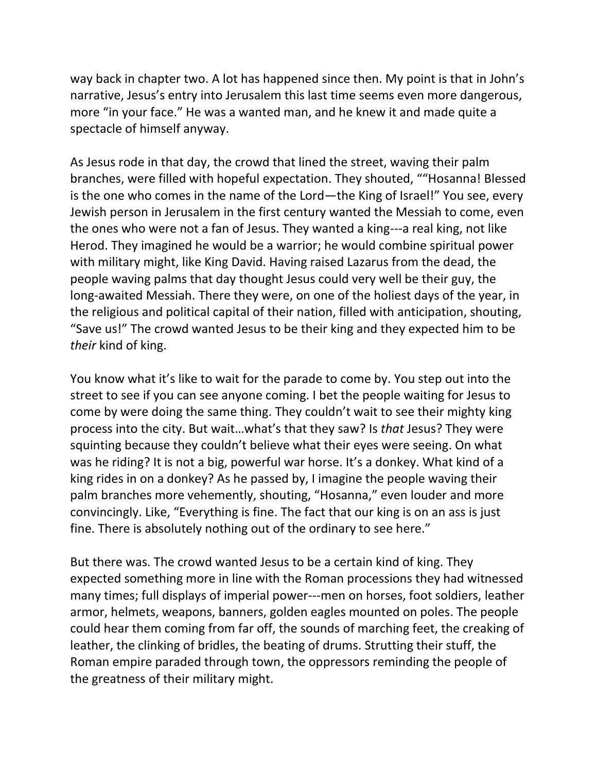way back in chapter two. A lot has happened since then. My point is that in John's narrative, Jesus's entry into Jerusalem this last time seems even more dangerous, more "in your face." He was a wanted man, and he knew it and made quite a spectacle of himself anyway.

As Jesus rode in that day, the crowd that lined the street, waving their palm branches, were filled with hopeful expectation. They shouted, ""Hosanna! Blessed is the one who comes in the name of the Lord—the King of Israel!" You see, every Jewish person in Jerusalem in the first century wanted the Messiah to come, even the ones who were not a fan of Jesus. They wanted a king---a real king, not like Herod. They imagined he would be a warrior; he would combine spiritual power with military might, like King David. Having raised Lazarus from the dead, the people waving palms that day thought Jesus could very well be their guy, the long-awaited Messiah. There they were, on one of the holiest days of the year, in the religious and political capital of their nation, filled with anticipation, shouting, "Save us!" The crowd wanted Jesus to be their king and they expected him to be *their* kind of king.

You know what it's like to wait for the parade to come by. You step out into the street to see if you can see anyone coming. I bet the people waiting for Jesus to come by were doing the same thing. They couldn't wait to see their mighty king process into the city. But wait…what's that they saw? Is *that* Jesus? They were squinting because they couldn't believe what their eyes were seeing. On what was he riding? It is not a big, powerful war horse. It's a donkey. What kind of a king rides in on a donkey? As he passed by, I imagine the people waving their palm branches more vehemently, shouting, "Hosanna," even louder and more convincingly. Like, "Everything is fine. The fact that our king is on an ass is just fine. There is absolutely nothing out of the ordinary to see here."

But there was. The crowd wanted Jesus to be a certain kind of king. They expected something more in line with the Roman processions they had witnessed many times; full displays of imperial power---men on horses, foot soldiers, leather armor, helmets, weapons, banners, golden eagles mounted on poles. The people could hear them coming from far off, the sounds of marching feet, the creaking of leather, the clinking of bridles, the beating of drums. Strutting their stuff, the Roman empire paraded through town, the oppressors reminding the people of the greatness of their military might.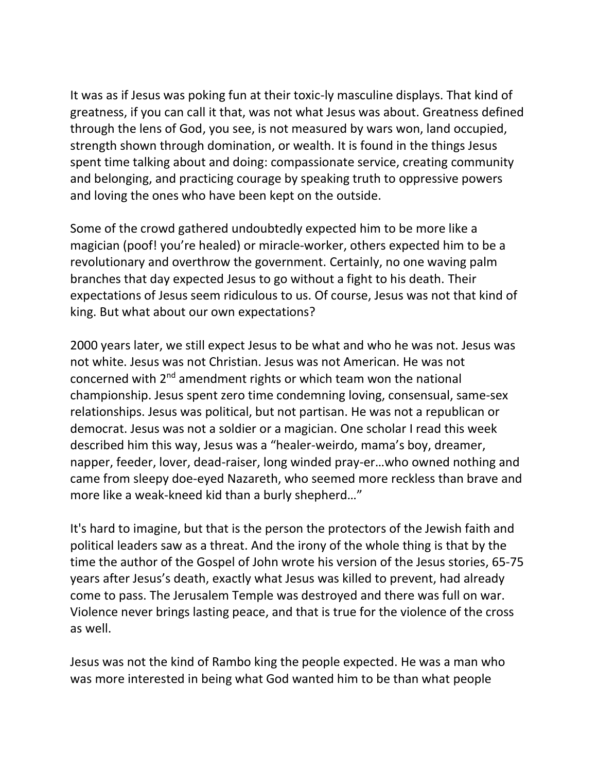It was as if Jesus was poking fun at their toxic-ly masculine displays. That kind of greatness, if you can call it that, was not what Jesus was about. Greatness defined through the lens of God, you see, is not measured by wars won, land occupied, strength shown through domination, or wealth. It is found in the things Jesus spent time talking about and doing: compassionate service, creating community and belonging, and practicing courage by speaking truth to oppressive powers and loving the ones who have been kept on the outside.

Some of the crowd gathered undoubtedly expected him to be more like a magician (poof! you're healed) or miracle-worker, others expected him to be a revolutionary and overthrow the government. Certainly, no one waving palm branches that day expected Jesus to go without a fight to his death. Their expectations of Jesus seem ridiculous to us. Of course, Jesus was not that kind of king. But what about our own expectations?

2000 years later, we still expect Jesus to be what and who he was not. Jesus was not white. Jesus was not Christian. Jesus was not American. He was not concerned with  $2<sup>nd</sup>$  amendment rights or which team won the national championship. Jesus spent zero time condemning loving, consensual, same-sex relationships. Jesus was political, but not partisan. He was not a republican or democrat. Jesus was not a soldier or a magician. One scholar I read this week described him this way, Jesus was a "healer-weirdo, mama's boy, dreamer, napper, feeder, lover, dead-raiser, long winded pray-er…who owned nothing and came from sleepy doe-eyed Nazareth, who seemed more reckless than brave and more like a weak-kneed kid than a burly shepherd…"

It's hard to imagine, but that is the person the protectors of the Jewish faith and political leaders saw as a threat. And the irony of the whole thing is that by the time the author of the Gospel of John wrote his version of the Jesus stories, 65-75 years after Jesus's death, exactly what Jesus was killed to prevent, had already come to pass. The Jerusalem Temple was destroyed and there was full on war. Violence never brings lasting peace, and that is true for the violence of the cross as well.

Jesus was not the kind of Rambo king the people expected. He was a man who was more interested in being what God wanted him to be than what people